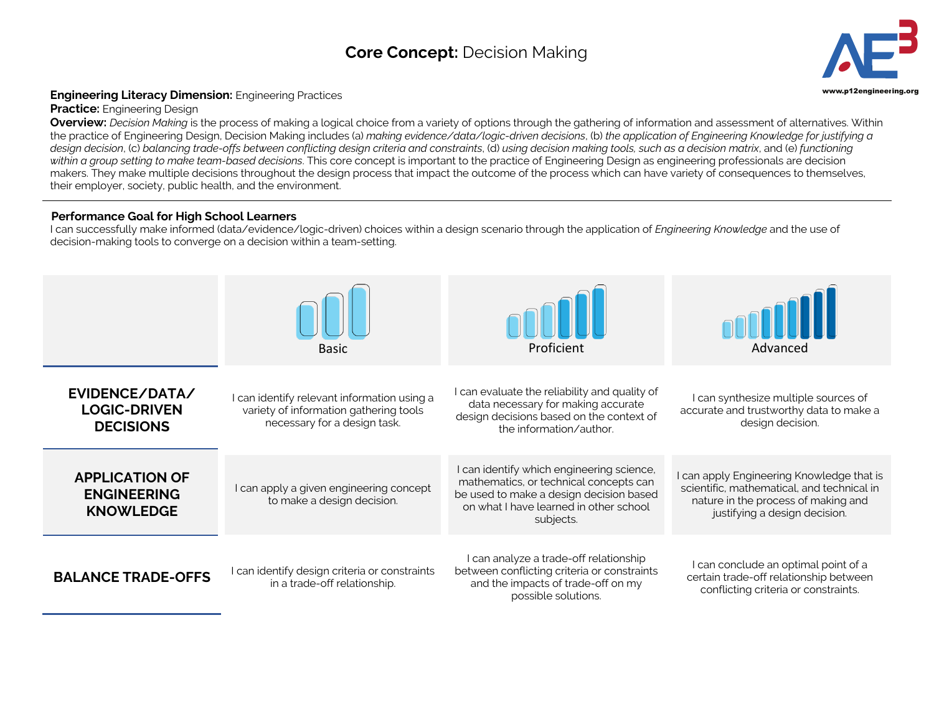## **Core Concept:** Decision Making **3**



## **Engineering Literacy Dimension:** Engineering Practices **Engineering.org and Secure 2016** and the structure of the structure of the structure of the structure of the structure of the structure of the structure of the struc

**Practice:** Engineering Design

**Overview:** *Decision Making* is the process of making a logical choice from a variety of options through the gathering of information and assessment of alternatives. Within the practice of Engineering Design, Decision Making includes (a) *making evidence/data/logic-driven decisions*, (b) *the application of Engineering Knowledge for justifying a design decision*, (c) *balancing trade-offs between conflicting design criteria and constraints*, (d) *using decision making tools, such as a decision matrix*, and (e) *functioning within a group setting to make team-based decisions*. This core concept is important to the practice of Engineering Design as engineering professionals are decision makers. They make multiple decisions throughout the design process that impact the outcome of the process which can have variety of consequences to themselves, their employer, society, public health, and the environment.

## **Performance Goal for High School Learners**

I can successfully make informed (data/evidence/logic-driven) choices within a design scenario through the application of *Engineering Knowledge* and the use of decision-making tools to converge on a decision within a team-setting.

|                                                                 | <b>Basic</b>                                                                                                          | Proficient                                                                                                                                                                            | Advanced                                                                                                                                                        |
|-----------------------------------------------------------------|-----------------------------------------------------------------------------------------------------------------------|---------------------------------------------------------------------------------------------------------------------------------------------------------------------------------------|-----------------------------------------------------------------------------------------------------------------------------------------------------------------|
| EVIDENCE/DATA/<br><b>LOGIC-DRIVEN</b><br><b>DECISIONS</b>       | I can identify relevant information using a<br>variety of information gathering tools<br>necessary for a design task. | I can evaluate the reliability and quality of<br>data necessary for making accurate<br>design decisions based on the context of<br>the information/author.                            | I can synthesize multiple sources of<br>accurate and trustworthy data to make a<br>design decision.                                                             |
| <b>APPLICATION OF</b><br><b>ENGINEERING</b><br><b>KNOWLEDGE</b> | I can apply a given engineering concept<br>to make a design decision.                                                 | I can identify which engineering science,<br>mathematics, or technical concepts can<br>be used to make a design decision based<br>on what I have learned in other school<br>subjects. | I can apply Engineering Knowledge that is<br>scientific, mathematical, and technical in<br>nature in the process of making and<br>justifying a design decision. |
| <b>BALANCE TRADE-OFFS</b>                                       | I can identify design criteria or constraints<br>in a trade-off relationship.                                         | I can analyze a trade-off relationship<br>between conflicting criteria or constraints<br>and the impacts of trade-off on my<br>possible solutions.                                    | I can conclude an optimal point of a<br>certain trade-off relationship between<br>conflicting criteria or constraints.                                          |